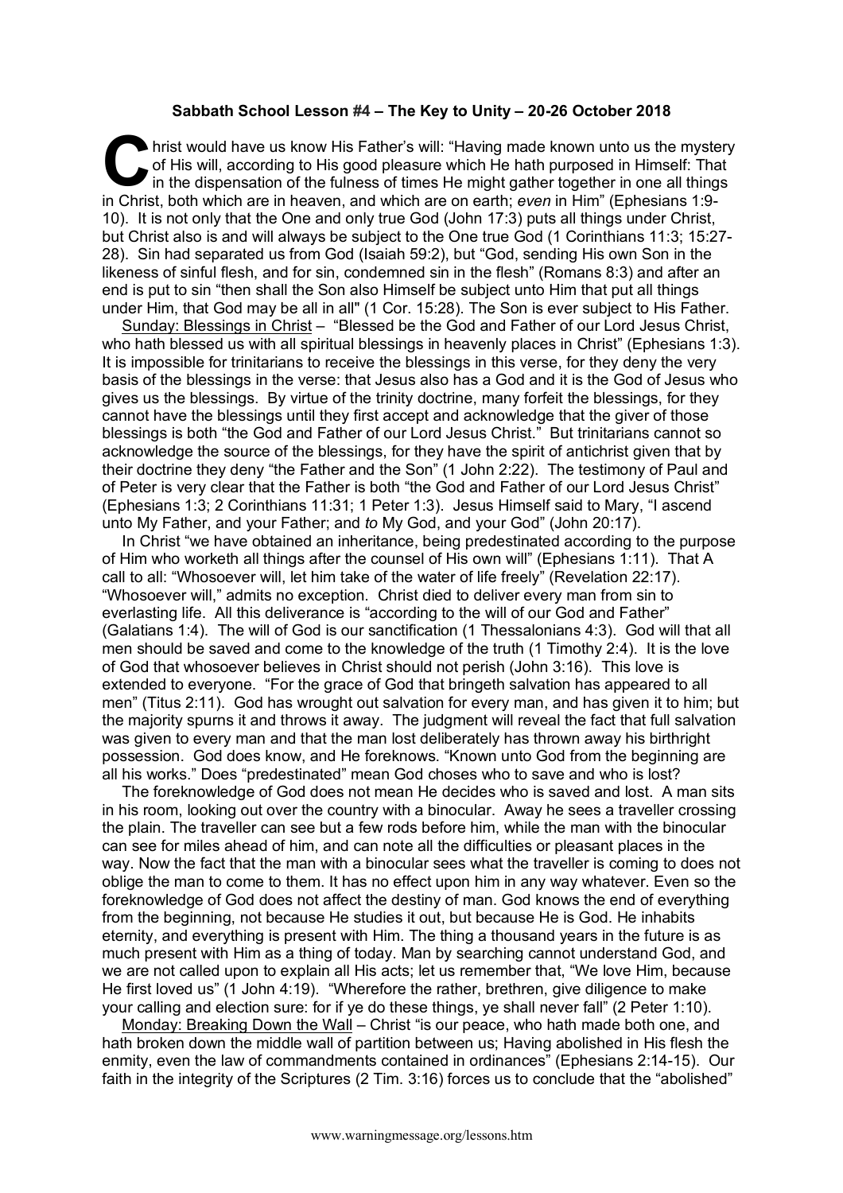## **Sabbath School Lesson #4 – The Key to Unity – 20-26 October 2018**

hrist would have us know His Father's will: "Having made known unto us the mystery of His will, according to His good pleasure which He hath purposed in Himself: That in the dispensation of the fulness of times He might ga of His will, according to His good pleasure which He hath purposed in Himself: That in the dispensation of the fulness of times He might gather together in one all things in Christ, both which are in heaven, and which are on earth; *even* in Him" (Ephesians 1:9- 10). It is not only that the One and only true God (John 17:3) puts all things under Christ, but Christ also is and will always be subject to the One true God (1 Corinthians 11:3; 15:27- 28). Sin had separated us from God (Isaiah 59:2), but "God, sending His own Son in the likeness of sinful flesh, and for sin, condemned sin in the flesh" (Romans 8:3) and after an end is put to sin "then shall the Son also Himself be subject unto Him that put all things under Him, that God may be all in all" (1 Cor. 15:28). The Son is ever subject to His Father.

Sunday: Blessings in Christ - "Blessed be the God and Father of our Lord Jesus Christ, who hath blessed us with all spiritual blessings in heavenly places in Christ" (Ephesians 1:3). It is impossible for trinitarians to receive the blessings in this verse, for they deny the very basis of the blessings in the verse: that Jesus also has a God and it is the God of Jesus who gives us the blessings. By virtue of the trinity doctrine, many forfeit the blessings, for they cannot have the blessings until they first accept and acknowledge that the giver of those blessings is both "the God and Father of our Lord Jesus Christ." But trinitarians cannot so acknowledge the source of the blessings, for they have the spirit of antichrist given that by their doctrine they deny "the Father and the Son" (1 John 2:22). The testimony of Paul and of Peter is very clear that the Father is both "the God and Father of our Lord Jesus Christ" (Ephesians 1:3; 2 Corinthians 11:31; 1 Peter 1:3). Jesus Himself said to Mary, "I ascend unto My Father, and your Father; and *to* My God, and your God" (John 20:17).

In Christ "we have obtained an inheritance, being predestinated according to the purpose of Him who worketh all things after the counsel of His own will" (Ephesians 1:11). That A call to all: "Whosoever will, let him take of the water of life freely" (Revelation 22:17). "Whosoever will," admits no exception. Christ died to deliver every man from sin to everlasting life. All this deliverance is "according to the will of our God and Father" (Galatians 1:4). The will of God is our sanctification (1 Thessalonians 4:3). God will that all men should be saved and come to the knowledge of the truth (1 Timothy 2:4). It is the love of God that whosoever believes in Christ should not perish (John 3:16). This love is extended to everyone. "For the grace of God that bringeth salvation has appeared to all men" (Titus 2:11). God has wrought out salvation for every man, and has given it to him; but the majority spurns it and throws it away. The judgment will reveal the fact that full salvation was given to every man and that the man lost deliberately has thrown away his birthright possession. God does know, and He foreknows. "Known unto God from the beginning are all his works." Does "predestinated" mean God choses who to save and who is lost?

The foreknowledge of God does not mean He decides who is saved and lost. A man sits in his room, looking out over the country with a binocular. Away he sees a traveller crossing the plain. The traveller can see but a few rods before him, while the man with the binocular can see for miles ahead of him, and can note all the difficulties or pleasant places in the way. Now the fact that the man with a binocular sees what the traveller is coming to does not oblige the man to come to them. It has no effect upon him in any way whatever. Even so the foreknowledge of God does not affect the destiny of man. God knows the end of everything from the beginning, not because He studies it out, but because He is God. He inhabits eternity, and everything is present with Him. The thing a thousand years in the future is as much present with Him as a thing of today. Man by searching cannot understand God, and we are not called upon to explain all His acts; let us remember that, "We love Him, because He first loved us" (1 John 4:19). "Wherefore the rather, brethren, give diligence to make your calling and election sure: for if ye do these things, ye shall never fall" (2 Peter 1:10).

Monday: Breaking Down the Wall – Christ "is our peace, who hath made both one, and hath broken down the middle wall of partition between us; Having abolished in His flesh the enmity, even the law of commandments contained in ordinances" (Ephesians 2:14-15). Our faith in the integrity of the Scriptures (2 Tim. 3:16) forces us to conclude that the "abolished"